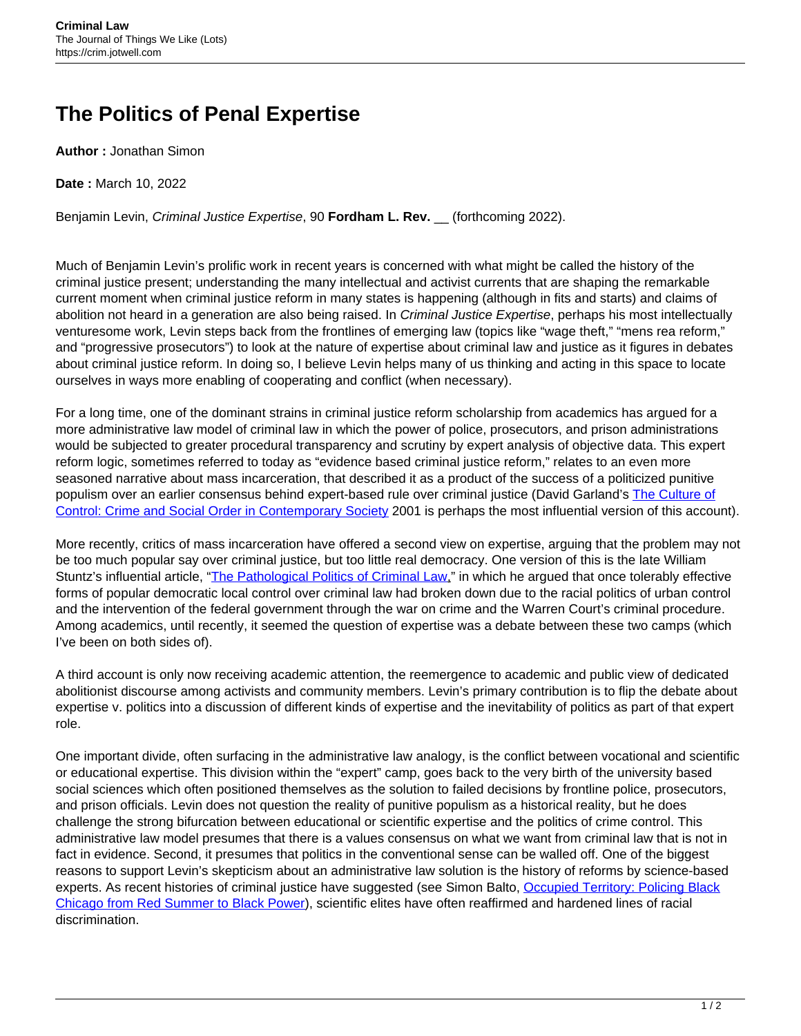## **The Politics of Penal Expertise**

**Author :** Jonathan Simon

**Date :** March 10, 2022

Benjamin Levin, Criminal Justice Expertise, 90 **Fordham L. Rev.** \_\_ (forthcoming 2022).

Much of Benjamin Levin's prolific work in recent years is concerned with what might be called the history of the criminal justice present; understanding the many intellectual and activist currents that are shaping the remarkable current moment when criminal justice reform in many states is happening (although in fits and starts) and claims of abolition not heard in a generation are also being raised. In Criminal Justice Expertise, perhaps his most intellectually venturesome work, Levin steps back from the frontlines of emerging law (topics like "wage theft," "mens rea reform," and "progressive prosecutors") to look at the nature of expertise about criminal law and justice as it figures in debates about criminal justice reform. In doing so, I believe Levin helps many of us thinking and acting in this space to locate ourselves in ways more enabling of cooperating and conflict (when necessary).

For a long time, one of the dominant strains in criminal justice reform scholarship from academics has argued for a more administrative law model of criminal law in which the power of police, prosecutors, and prison administrations would be subjected to greater procedural transparency and scrutiny by expert analysis of objective data. This expert reform logic, sometimes referred to today as "evidence based criminal justice reform," relates to an even more seasoned narrative about mass incarceration, that described it as a product of the success of a politicized punitive populism over an earlier consensus behind expert-based rule over criminal justice (David Garland's [The Culture of](https://press.uchicago.edu/ucp/books/book/chicago/C/bo4092002.html) [Control: Crime and Social Order in Contemporary Society](https://press.uchicago.edu/ucp/books/book/chicago/C/bo4092002.html) 2001 is perhaps the most influential version of this account).

More recently, critics of mass incarceration have offered a second view on expertise, arguing that the problem may not be too much popular say over criminal justice, but too little real democracy. One version of this is the late William Stuntz's influential article, ["The Pathological Politics of Criminal Law](https://repository.law.umich.edu/cgi/viewcontent.cgi?article=1908&context=mlr)," in which he argued that once tolerably effective forms of popular democratic local control over criminal law had broken down due to the racial politics of urban control and the intervention of the federal government through the war on crime and the Warren Court's criminal procedure. Among academics, until recently, it seemed the question of expertise was a debate between these two camps (which I've been on both sides of).

A third account is only now receiving academic attention, the reemergence to academic and public view of dedicated abolitionist discourse among activists and community members. Levin's primary contribution is to flip the debate about expertise v. politics into a discussion of different kinds of expertise and the inevitability of politics as part of that expert role.

One important divide, often surfacing in the administrative law analogy, is the conflict between vocational and scientific or educational expertise. This division within the "expert" camp, goes back to the very birth of the university based social sciences which often positioned themselves as the solution to failed decisions by frontline police, prosecutors, and prison officials. Levin does not question the reality of punitive populism as a historical reality, but he does challenge the strong bifurcation between educational or scientific expertise and the politics of crime control. This administrative law model presumes that there is a values consensus on what we want from criminal law that is not in fact in evidence. Second, it presumes that politics in the conventional sense can be walled off. One of the biggest reasons to support Levin's skepticism about an administrative law solution is the history of reforms by science-based experts. As recent histories of criminal justice have suggested (see Simon Balto, [Occupied Territory: Policing Black](https://uncpress.org/book/9781469659176/occupied-territory/) [Chicago from Red Summer to Black Power](https://uncpress.org/book/9781469659176/occupied-territory/)), scientific elites have often reaffirmed and hardened lines of racial discrimination.